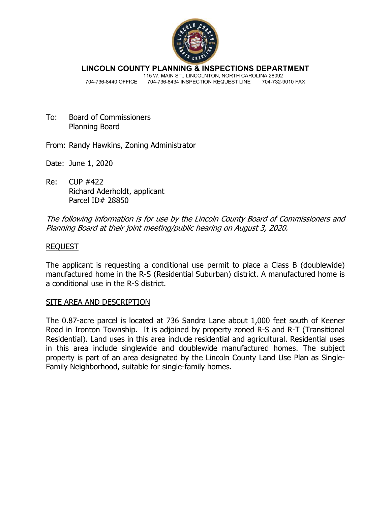

**LINCOLN COUNTY PLANNING & INSPECTIONS DEPARTMENT**

 115 W. MAIN ST., LINCOLNTON, NORTH CAROLINA 28092 704-736-8440 OFFICE 704-736-8434 INSPECTION REQUEST LINE

- To: Board of Commissioners Planning Board
- From: Randy Hawkins, Zoning Administrator
- Date: June 1, 2020
- Re: CUP #422 Richard Aderholdt, applicant Parcel ID# 28850

The following information is for use by the Lincoln County Board of Commissioners and Planning Board at their joint meeting/public hearing on August 3, 2020.

### REQUEST

The applicant is requesting a conditional use permit to place a Class B (doublewide) manufactured home in the R-S (Residential Suburban) district. A manufactured home is a conditional use in the R-S district.

#### SITE AREA AND DESCRIPTION

The 0.87-acre parcel is located at 736 Sandra Lane about 1,000 feet south of Keener Road in Ironton Township. It is adjoined by property zoned R-S and R-T (Transitional Residential). Land uses in this area include residential and agricultural. Residential uses in this area include singlewide and doublewide manufactured homes. The subject property is part of an area designated by the Lincoln County Land Use Plan as Single-Family Neighborhood, suitable for single-family homes.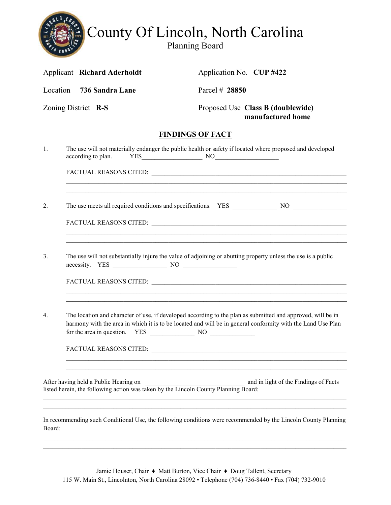

|                     | Applicant Richard Aderholdt                                                                                                                                           | Application No. CUP #422                                                                                                                                                                                                   |
|---------------------|-----------------------------------------------------------------------------------------------------------------------------------------------------------------------|----------------------------------------------------------------------------------------------------------------------------------------------------------------------------------------------------------------------------|
|                     | Location 736 Sandra Lane                                                                                                                                              | Parcel $#28850$                                                                                                                                                                                                            |
| Zoning District R-S |                                                                                                                                                                       | Proposed Use Class B (doublewide)<br>manufactured home                                                                                                                                                                     |
|                     |                                                                                                                                                                       | <b>FINDINGS OF FACT</b>                                                                                                                                                                                                    |
| 1.                  | according to plan.                                                                                                                                                    | The use will not materially endanger the public health or safety if located where proposed and developed<br>$YES$ NO $NOS$                                                                                                 |
|                     |                                                                                                                                                                       | FACTUAL REASONS CITED:<br><u> 1989 - Johann Stoff, amerikansk politiker (d. 1989)</u>                                                                                                                                      |
| 2.                  |                                                                                                                                                                       |                                                                                                                                                                                                                            |
|                     |                                                                                                                                                                       |                                                                                                                                                                                                                            |
| 3.                  |                                                                                                                                                                       | The use will not substantially injure the value of adjoining or abutting property unless the use is a public                                                                                                               |
|                     |                                                                                                                                                                       |                                                                                                                                                                                                                            |
| 4.                  |                                                                                                                                                                       | The location and character of use, if developed according to the plan as submitted and approved, will be in<br>harmony with the area in which it is to be located and will be in general conformity with the Land Use Plan |
|                     |                                                                                                                                                                       |                                                                                                                                                                                                                            |
|                     | After having held a Public Hearing on<br>After having held a Public Hearing on<br>listed herein, the following action was taken by the Lincoln County Planning Board: | and in light of the Findings of Facts                                                                                                                                                                                      |
| Board:              |                                                                                                                                                                       | In recommending such Conditional Use, the following conditions were recommended by the Lincoln County Planning                                                                                                             |
|                     |                                                                                                                                                                       |                                                                                                                                                                                                                            |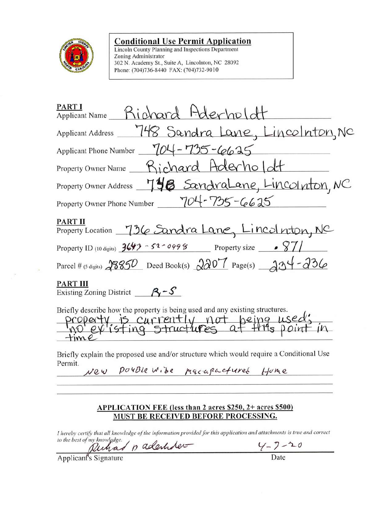

 $\sim$ 

 $\mathcal{F}$ 

# **Conditional Use Permit Application**

Lincoln County Planning and Inspections Department Zoning Administrator 302 N. Academy St., Suite A, Lincolnton, NC 28092 Phone: (704)736-8440 FAX: (704)732-9010

| <b>PART I</b><br>Applicant Name Richard Aderholdt                                                                                                                                                   |
|-----------------------------------------------------------------------------------------------------------------------------------------------------------------------------------------------------|
| Applicant Address 148 Sandra Lane, Lincolnton, NC                                                                                                                                                   |
| Applicant Phone Number 704 - 735-6625                                                                                                                                                               |
| Property Owner Name Richard Aderholdt                                                                                                                                                               |
| Property Owner Address 748 SandraLane, Lincolnton, NC                                                                                                                                               |
| Property Owner Phone Number 704-735-6625                                                                                                                                                            |
| <b>PART II</b><br>Property Location 736 Sandra Lane, Lincolnton, NC                                                                                                                                 |
| Property ID (10 digits) $3642 - 52 - 0998$ Property size $\boxed{\phantom{2} 87}$                                                                                                                   |
| Parcel # (5 digits) $28850$ Deed Book(s) $2207$ Page(s) $334 - 336$                                                                                                                                 |
| PART III<br>Existing Zoning District $\beta - S$                                                                                                                                                    |
| Briefly describe how the property is being used and any existing structures.<br>property is currently not being used;<br>no existing structures at this point in                                    |
| outside the state of the contract of the contract of the contract of the contract of the contract of the contract of the contract of the contract of the contract of the contract of $\mathbf{T}$ . |

Briefly explain the proposed use and/or structure which would require a Conditional Use Permit.

pouble wibe macapactured Home New

#### APPLICATION FEE (less than 2 acres \$250, 2+ acres \$500) MUST BE RECEIVED BEFORE PROCESSING.

I hereby certify that all knowledge of the information provided for this application and attachments is true and correct  $\frac{y-7-20}{\text{Date}}$ 

to the best of my knowledge. padentider

Applicant's Signature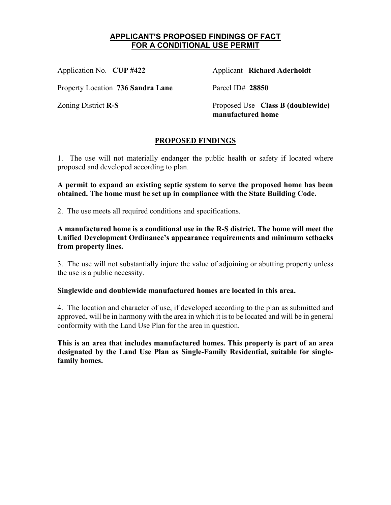### **APPLICANT'S PROPOSED FINDINGS OF FACT FOR A CONDITIONAL USE PERMIT**

Application No. **CUP #422 Applicant Richard Aderholdt** 

Property Location **736 Sandra Lane** Parcel ID# **28850**

Zoning District **R-S** Proposed Use **Class B (doublewide) manufactured home** 

# **PROPOSED FINDINGS**

1. The use will not materially endanger the public health or safety if located where proposed and developed according to plan.

**A permit to expand an existing septic system to serve the proposed home has been obtained. The home must be set up in compliance with the State Building Code.** 

2. The use meets all required conditions and specifications.

**A manufactured home is a conditional use in the R-S district. The home will meet the Unified Development Ordinance's appearance requirements and minimum setbacks from property lines.** 

3. The use will not substantially injure the value of adjoining or abutting property unless the use is a public necessity.

**Singlewide and doublewide manufactured homes are located in this area.** 

4. The location and character of use, if developed according to the plan as submitted and approved, will be in harmony with the area in which it is to be located and will be in general conformity with the Land Use Plan for the area in question.

**This is an area that includes manufactured homes. This property is part of an area designated by the Land Use Plan as Single-Family Residential, suitable for singlefamily homes.**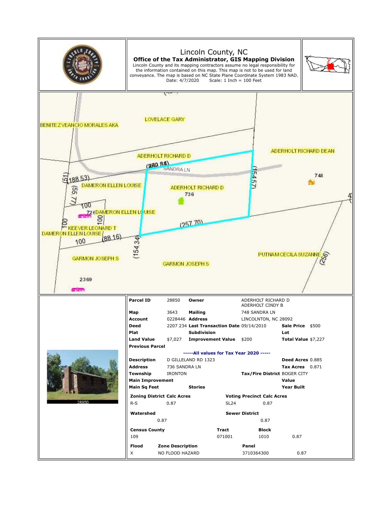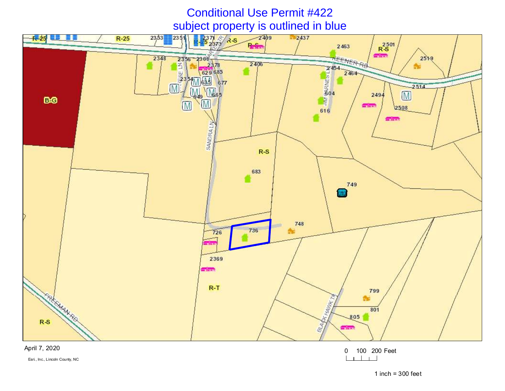# Conditional Use Permit #422 subject property is outlined in blue



April 7, 2020

Esri., Inc., Lincoln County, NC

0 100 200 Feet